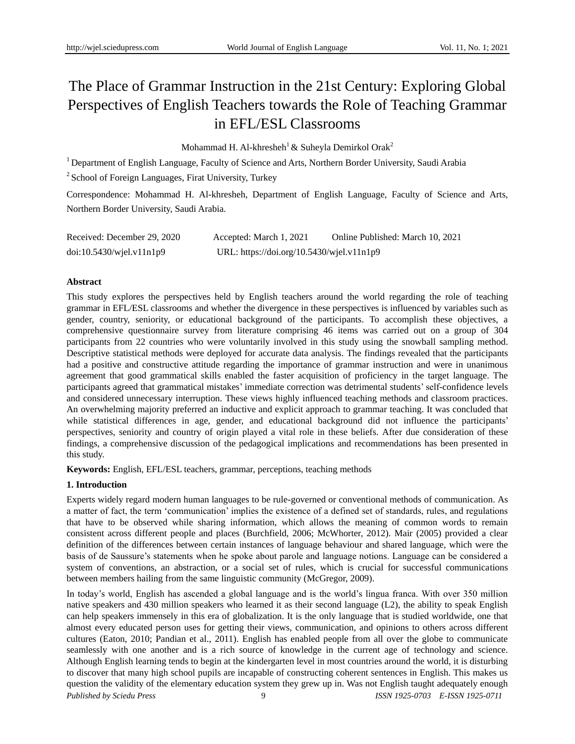# The Place of Grammar Instruction in the 21st Century: Exploring Global Perspectives of English Teachers towards the Role of Teaching Grammar in EFL/ESL Classrooms

Mohammad H. Al-khresheh<sup>1</sup> & Suheyla Demirkol Orak<sup>2</sup>

<sup>1</sup> Department of English Language, Faculty of Science and Arts, Northern Border University, Saudi Arabia

<sup>2</sup> School of Foreign Languages, Firat University, Turkey

Correspondence: Mohammad H. Al-khresheh, Department of English Language, Faculty of Science and Arts, Northern Border University, Saudi Arabia.

| Received: December 29, 2020 | Accepted: March 1, 2021                   | Online Published: March 10, 2021 |
|-----------------------------|-------------------------------------------|----------------------------------|
| doi:10.5430/wjel.v11n1p9    | URL: https://doi.org/10.5430/wjel.v11n1p9 |                                  |

# **Abstract**

This study explores the perspectives held by English teachers around the world regarding the role of teaching grammar in EFL/ESL classrooms and whether the divergence in these perspectives is influenced by variables such as gender, country, seniority, or educational background of the participants. To accomplish these objectives, a comprehensive questionnaire survey from literature comprising 46 items was carried out on a group of 304 participants from 22 countries who were voluntarily involved in this study using the snowball sampling method. Descriptive statistical methods were deployed for accurate data analysis. The findings revealed that the participants had a positive and constructive attitude regarding the importance of grammar instruction and were in unanimous agreement that good grammatical skills enabled the faster acquisition of proficiency in the target language. The participants agreed that grammatical mistakes" immediate correction was detrimental students" self-confidence levels and considered unnecessary interruption. These views highly influenced teaching methods and classroom practices. An overwhelming majority preferred an inductive and explicit approach to grammar teaching. It was concluded that while statistical differences in age, gender, and educational background did not influence the participants' perspectives, seniority and country of origin played a vital role in these beliefs. After due consideration of these findings, a comprehensive discussion of the pedagogical implications and recommendations has been presented in this study.

**Keywords:** English, EFL/ESL teachers, grammar, perceptions, teaching methods

# **1. Introduction**

Experts widely regard modern human languages to be rule-governed or conventional methods of communication. As a matter of fact, the term "communication" implies the existence of a defined set of standards, rules, and regulations that have to be observed while sharing information, which allows the meaning of common words to remain consistent across different people and places (Burchfield, 2006; McWhorter, 2012). Mair (2005) provided a clear definition of the differences between certain instances of language behaviour and shared language, which were the basis of de Saussure"s statements when he spoke about parole and language notions. Language can be considered a system of conventions, an abstraction, or a social set of rules, which is crucial for successful communications between members hailing from the same linguistic community (McGregor, 2009).

*Published by Sciedu Press* 9 *ISSN 1925-0703 E-ISSN 1925-0711* In today"s world, English has ascended a global language and is the world"s lingua franca. With over 350 million native speakers and 430 million speakers who learned it as their second language (L2), the ability to speak English can help speakers immensely in this era of globalization. It is the only language that is studied worldwide, one that almost every educated person uses for getting their views, communication, and opinions to others across different cultures (Eaton, 2010; Pandian et al., 2011). English has enabled people from all over the globe to communicate seamlessly with one another and is a rich source of knowledge in the current age of technology and science. Although English learning tends to begin at the kindergarten level in most countries around the world, it is disturbing to discover that many high school pupils are incapable of constructing coherent sentences in English. This makes us question the validity of the elementary education system they grew up in. Was not English taught adequately enough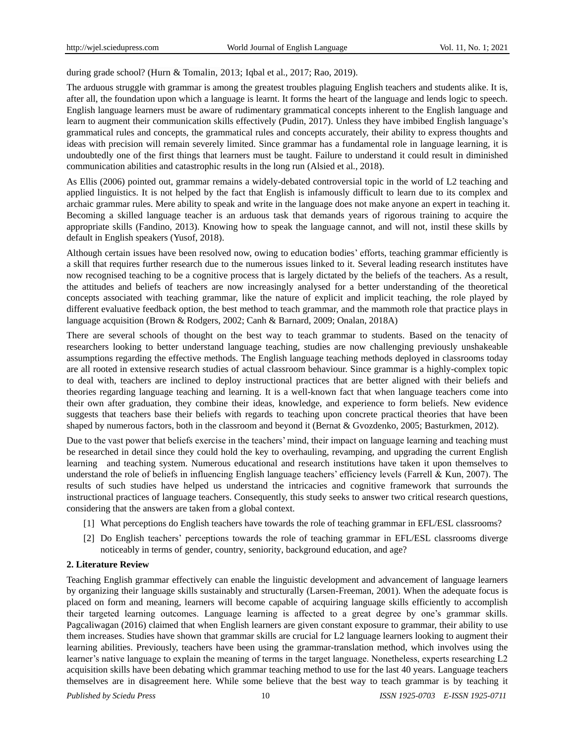during grade school? (Hurn & Tomalin, 2013; Igbal et al., 2017; Rao, 2019).

The arduous struggle with grammar is among the greatest troubles plaguing English teachers and students alike. It is, after all, the foundation upon which a language is learnt. It forms the heart of the language and lends logic to speech. English language learners must be aware of rudimentary grammatical concepts inherent to the English language and learn to augment their communication skills effectively (Pudin, 2017). Unless they have imbibed English language's grammatical rules and concepts, the grammatical rules and concepts accurately, their ability to express thoughts and ideas with precision will remain severely limited. Since grammar has a fundamental role in language learning, it is undoubtedly one of the first things that learners must be taught. Failure to understand it could result in diminished communication abilities and catastrophic results in the long run (Alsied et al., 2018).

As Ellis (2006) pointed out, grammar remains a widely-debated controversial topic in the world of L2 teaching and applied linguistics. It is not helped by the fact that English is infamously difficult to learn due to its complex and archaic grammar rules. Mere ability to speak and write in the language does not make anyone an expert in teaching it. Becoming a skilled language teacher is an arduous task that demands years of rigorous training to acquire the appropriate skills (Fandino, 2013). Knowing how to speak the language cannot, and will not, instil these skills by default in English speakers (Yusof, 2018).

Although certain issues have been resolved now, owing to education bodies" efforts, teaching grammar efficiently is a skill that requires further research due to the numerous issues linked to it. Several leading research institutes have now recognised teaching to be a cognitive process that is largely dictated by the beliefs of the teachers. As a result, the attitudes and beliefs of teachers are now increasingly analysed for a better understanding of the theoretical concepts associated with teaching grammar, like the nature of explicit and implicit teaching, the role played by different evaluative feedback option, the best method to teach grammar, and the mammoth role that practice plays in language acquisition (Brown & Rodgers, 2002; Canh & Barnard, 2009; Onalan, 2018A)

There are several schools of thought on the best way to teach grammar to students. Based on the tenacity of researchers looking to better understand language teaching, studies are now challenging previously unshakeable assumptions regarding the effective methods. The English language teaching methods deployed in classrooms today are all rooted in extensive research studies of actual classroom behaviour. Since grammar is a highly-complex topic to deal with, teachers are inclined to deploy instructional practices that are better aligned with their beliefs and theories regarding language teaching and learning. It is a well-known fact that when language teachers come into their own after graduation, they combine their ideas, knowledge, and experience to form beliefs. New evidence suggests that teachers base their beliefs with regards to teaching upon concrete practical theories that have been shaped by numerous factors, both in the classroom and beyond it (Bernat & Gvozdenko, 2005; Basturkmen, 2012).

Due to the vast power that beliefs exercise in the teachers' mind, their impact on language learning and teaching must be researched in detail since they could hold the key to overhauling, revamping, and upgrading the current English learning and teaching system. Numerous educational and research institutions have taken it upon themselves to understand the role of beliefs in influencing English language teachers' efficiency levels (Farrell  $&$  Kun, 2007). The results of such studies have helped us understand the intricacies and cognitive framework that surrounds the instructional practices of language teachers. Consequently, this study seeks to answer two critical research questions, considering that the answers are taken from a global context.

- [1] What perceptions do English teachers have towards the role of teaching grammar in EFL/ESL classrooms?
- [2] Do English teachers" perceptions towards the role of teaching grammar in EFL/ESL classrooms diverge noticeably in terms of gender, country, seniority, background education, and age?

#### **2. Literature Review**

Teaching English grammar effectively can enable the linguistic development and advancement of language learners by organizing their language skills sustainably and structurally (Larsen-Freeman, 2001). When the adequate focus is placed on form and meaning, learners will become capable of acquiring language skills efficiently to accomplish their targeted learning outcomes. Language learning is affected to a great degree by one"s grammar skills. Pagcaliwagan (2016) claimed that when English learners are given constant exposure to grammar, their ability to use them increases. Studies have shown that grammar skills are crucial for L2 language learners looking to augment their learning abilities. Previously, teachers have been using the grammar-translation method, which involves using the learner's native language to explain the meaning of terms in the target language. Nonetheless, experts researching L2 acquisition skills have been debating which grammar teaching method to use for the last 40 years. Language teachers themselves are in disagreement here. While some believe that the best way to teach grammar is by teaching it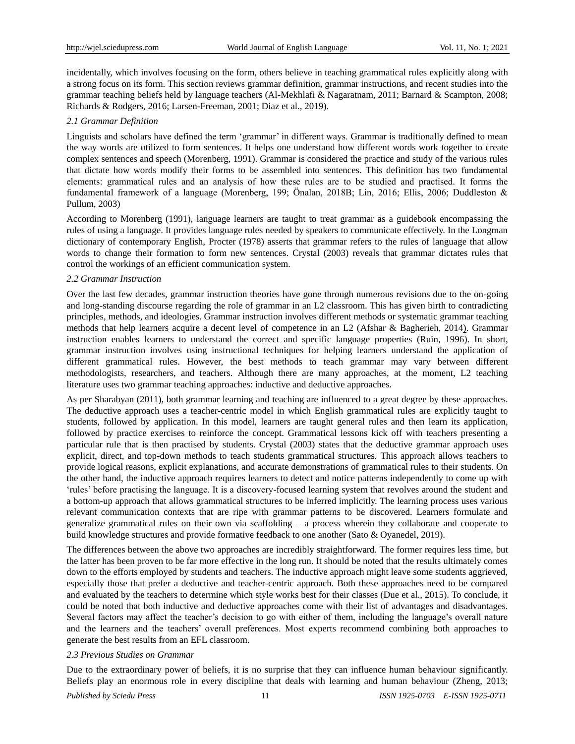incidentally, which involves focusing on the form, others believe in teaching grammatical rules explicitly along with a strong focus on its form. This section reviews grammar definition, grammar instructions, and recent studies into the grammar teaching beliefs held by language teachers (Al-Mekhlafi & Nagaratnam, 2011; Barnard & Scampton, 2008; Richards & Rodgers, 2016; Larsen-Freeman, 2001; Diaz et al., 2019).

## *2.1 Grammar Definition*

Linguists and scholars have defined the term "grammar" in different ways. Grammar is traditionally defined to mean the way words are utilized to form sentences. It helps one understand how different words work together to create complex sentences and speech (Morenberg, 1991). Grammar is considered the practice and study of the various rules that dictate how words modify their forms to be assembled into sentences. This definition has two fundamental elements: grammatical rules and an analysis of how these rules are to be studied and practised. It forms the fundamental framework of a language (Morenberg, 199; Önalan, 2018B; Lin, 2016; Ellis, 2006; Duddleston & Pullum, 2003)

According to Morenberg (1991), language learners are taught to treat grammar as a guidebook encompassing the rules of using a language. It provides language rules needed by speakers to communicate effectively. In the Longman dictionary of contemporary English, Procter (1978) asserts that grammar refers to the rules of language that allow words to change their formation to form new sentences. Crystal (2003) reveals that grammar dictates rules that control the workings of an efficient communication system.

#### *2.2 Grammar Instruction*

Over the last few decades, grammar instruction theories have gone through numerous revisions due to the on-going and long-standing discourse regarding the role of grammar in an L2 classroom. This has given birth to contradicting principles, methods, and ideologies. Grammar instruction involves different methods or systematic grammar teaching methods that help learners acquire a decent level of competence in an L2 (Afshar & Bagherieh, 2014). Grammar instruction enables learners to understand the correct and specific language properties (Ruin, 1996). In short, grammar instruction involves using instructional techniques for helping learners understand the application of different grammatical rules. However, the best methods to teach grammar may vary between different methodologists, researchers, and teachers. Although there are many approaches, at the moment, L2 teaching literature uses two grammar teaching approaches: inductive and deductive approaches.

As per Sharabyan (2011), both grammar learning and teaching are influenced to a great degree by these approaches. The deductive approach uses a teacher-centric model in which English grammatical rules are explicitly taught to students, followed by application. In this model, learners are taught general rules and then learn its application, followed by practice exercises to reinforce the concept. Grammatical lessons kick off with teachers presenting a particular rule that is then practised by students. Crystal (2003) states that the deductive grammar approach uses explicit, direct, and top-down methods to teach students grammatical structures. This approach allows teachers to provide logical reasons, explicit explanations, and accurate demonstrations of grammatical rules to their students. On the other hand, the inductive approach requires learners to detect and notice patterns independently to come up with "rules" before practising the language. It is a discovery-focused learning system that revolves around the student and a bottom-up approach that allows grammatical structures to be inferred implicitly. The learning process uses various relevant communication contexts that are ripe with grammar patterns to be discovered. Learners formulate and generalize grammatical rules on their own via scaffolding – a process wherein they collaborate and cooperate to build knowledge structures and provide formative feedback to one another (Sato & Oyanedel, 2019).

The differences between the above two approaches are incredibly straightforward. The former requires less time, but the latter has been proven to be far more effective in the long run. It should be noted that the results ultimately comes down to the efforts employed by students and teachers. The inductive approach might leave some students aggrieved, especially those that prefer a deductive and teacher-centric approach. Both these approaches need to be compared and evaluated by the teachers to determine which style works best for their classes (Due et al., 2015). To conclude, it could be noted that both inductive and deductive approaches come with their list of advantages and disadvantages. Several factors may affect the teacher's decision to go with either of them, including the language's overall nature and the learners and the teachers" overall preferences. Most experts recommend combining both approaches to generate the best results from an EFL classroom.

# *2.3 Previous Studies on Grammar*

Due to the extraordinary power of beliefs, it is no surprise that they can influence human behaviour significantly. Beliefs play an enormous role in every discipline that deals with learning and human behaviour (Zheng, 2013;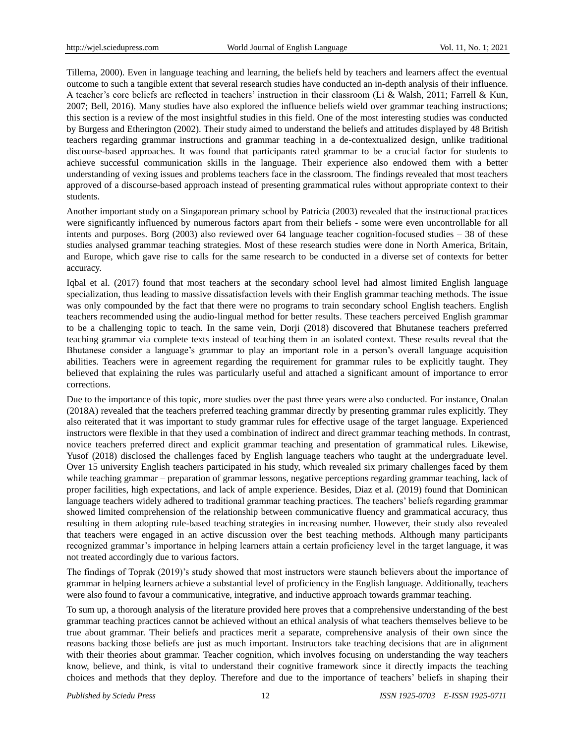Tillema, 2000). Even in language teaching and learning, the beliefs held by teachers and learners affect the eventual outcome to such a tangible extent that several research studies have conducted an in-depth analysis of their influence. A teacher"s core beliefs are reflected in teachers" instruction in their classroom (Li & Walsh, 2011; Farrell & Kun, 2007; Bell, 2016). Many studies have also explored the influence beliefs wield over grammar teaching instructions; this section is a review of the most insightful studies in this field. One of the most interesting studies was conducted by Burgess and Etherington (2002). Their study aimed to understand the beliefs and attitudes displayed by 48 British teachers regarding grammar instructions and grammar teaching in a de-contextualized design, unlike traditional discourse-based approaches. It was found that participants rated grammar to be a crucial factor for students to achieve successful communication skills in the language. Their experience also endowed them with a better understanding of vexing issues and problems teachers face in the classroom. The findings revealed that most teachers approved of a discourse-based approach instead of presenting grammatical rules without appropriate context to their students.

Another important study on a Singaporean primary school by Patricia (2003) revealed that the instructional practices were significantly influenced by numerous factors apart from their beliefs - some were even uncontrollable for all intents and purposes. Borg (2003) also reviewed over 64 language teacher cognition-focused studies – 38 of these studies analysed grammar teaching strategies. Most of these research studies were done in North America, Britain, and Europe, which gave rise to calls for the same research to be conducted in a diverse set of contexts for better accuracy.

Iqbal et al. (2017) found that most teachers at the secondary school level had almost limited English language specialization, thus leading to massive dissatisfaction levels with their English grammar teaching methods. The issue was only compounded by the fact that there were no programs to train secondary school English teachers. English teachers recommended using the audio-lingual method for better results. These teachers perceived English grammar to be a challenging topic to teach. In the same vein, Dorji (2018) discovered that Bhutanese teachers preferred teaching grammar via complete texts instead of teaching them in an isolated context. These results reveal that the Bhutanese consider a language"s grammar to play an important role in a person"s overall language acquisition abilities. Teachers were in agreement regarding the requirement for grammar rules to be explicitly taught. They believed that explaining the rules was particularly useful and attached a significant amount of importance to error corrections.

Due to the importance of this topic, more studies over the past three years were also conducted. For instance, Onalan (2018A) revealed that the teachers preferred teaching grammar directly by presenting grammar rules explicitly. They also reiterated that it was important to study grammar rules for effective usage of the target language. Experienced instructors were flexible in that they used a combination of indirect and direct grammar teaching methods. In contrast, novice teachers preferred direct and explicit grammar teaching and presentation of grammatical rules. Likewise, Yusof (2018) disclosed the challenges faced by English language teachers who taught at the undergraduate level. Over 15 university English teachers participated in his study, which revealed six primary challenges faced by them while teaching grammar – preparation of grammar lessons, negative perceptions regarding grammar teaching, lack of proper facilities, high expectations, and lack of ample experience. Besides, Diaz et al. (2019) found that Dominican language teachers widely adhered to traditional grammar teaching practices. The teachers" beliefs regarding grammar showed limited comprehension of the relationship between communicative fluency and grammatical accuracy, thus resulting in them adopting rule-based teaching strategies in increasing number. However, their study also revealed that teachers were engaged in an active discussion over the best teaching methods. Although many participants recognized grammar"s importance in helping learners attain a certain proficiency level in the target language, it was not treated accordingly due to various factors.

The findings of Toprak (2019)'s study showed that most instructors were staunch believers about the importance of grammar in helping learners achieve a substantial level of proficiency in the English language. Additionally, teachers were also found to favour a communicative, integrative, and inductive approach towards grammar teaching.

To sum up, a thorough analysis of the literature provided here proves that a comprehensive understanding of the best grammar teaching practices cannot be achieved without an ethical analysis of what teachers themselves believe to be true about grammar. Their beliefs and practices merit a separate, comprehensive analysis of their own since the reasons backing those beliefs are just as much important. Instructors take teaching decisions that are in alignment with their theories about grammar. Teacher cognition, which involves focusing on understanding the way teachers know, believe, and think, is vital to understand their cognitive framework since it directly impacts the teaching choices and methods that they deploy. Therefore and due to the importance of teachers" beliefs in shaping their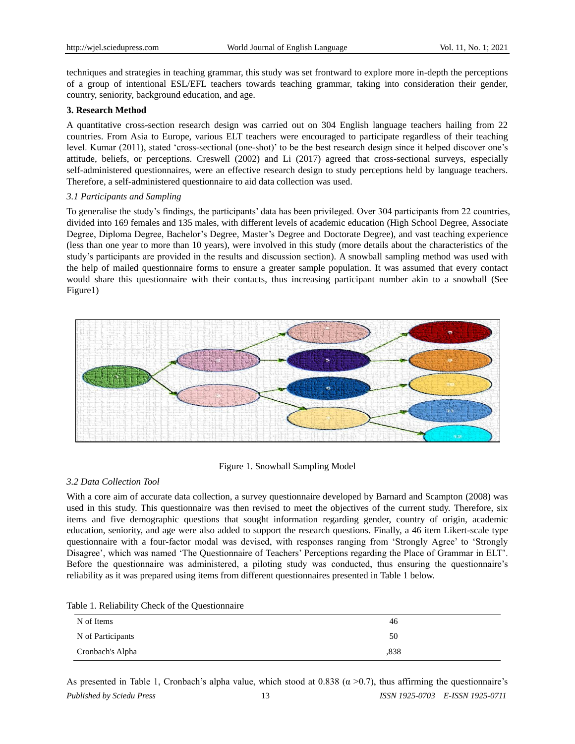techniques and strategies in teaching grammar, this study was set frontward to explore more in-depth the perceptions of a group of intentional ESL/EFL teachers towards teaching grammar, taking into consideration their gender, country, seniority, background education, and age.

# **3. Research Method**

A quantitative cross-section research design was carried out on 304 English language teachers hailing from 22 countries. From Asia to Europe, various ELT teachers were encouraged to participate regardless of their teaching level. Kumar (2011), stated "cross-sectional (one-shot)" to be the best research design since it helped discover one"s attitude, beliefs, or perceptions. Creswell (2002) and Li (2017) agreed that cross-sectional surveys, especially self-administered questionnaires, were an effective research design to study perceptions held by language teachers. Therefore, a self-administered questionnaire to aid data collection was used.

## *3.1 Participants and Sampling*

To generalise the study"s findings, the participants" data has been privileged. Over 304 participants from 22 countries, divided into 169 females and 135 males, with different levels of academic education (High School Degree, Associate Degree, Diploma Degree, Bachelor"s Degree, Master"s Degree and Doctorate Degree), and vast teaching experience (less than one year to more than 10 years), were involved in this study (more details about the characteristics of the study"s participants are provided in the results and discussion section). A snowball sampling method was used with the help of mailed questionnaire forms to ensure a greater sample population. It was assumed that every contact would share this questionnaire with their contacts, thus increasing participant number akin to a snowball (See Figure1)



Figure 1. Snowball Sampling Model

# *3.2 Data Collection Tool*

With a core aim of accurate data collection, a survey questionnaire developed by Barnard and Scampton (2008) was used in this study. This questionnaire was then revised to meet the objectives of the current study. Therefore, six items and five demographic questions that sought information regarding gender, country of origin, academic education, seniority, and age were also added to support the research questions. Finally, a 46 item Likert-scale type questionnaire with a four-factor modal was devised, with responses ranging from "Strongly Agree" to "Strongly Disagree', which was named 'The Questionnaire of Teachers' Perceptions regarding the Place of Grammar in ELT'. Before the questionnaire was administered, a piloting study was conducted, thus ensuring the questionnaire"s reliability as it was prepared using items from different questionnaires presented in Table 1 below.

| $10010$ $11101001110$ $10000101$ $110000001110110$<br>N of Items | 46   |
|------------------------------------------------------------------|------|
| N of Participants                                                | 50   |
| Cronbach's Alpha                                                 | .838 |

| Table 1. Reliability Check of the Questionnaire |  |  |
|-------------------------------------------------|--|--|
|                                                 |  |  |

*Published by Sciedu Press* 13 *ISSN 1925-0703 E-ISSN 1925-0711* As presented in Table 1, Cronbach's alpha value, which stood at 0.838 ( $\alpha$  >0.7), thus affirming the questionnaire's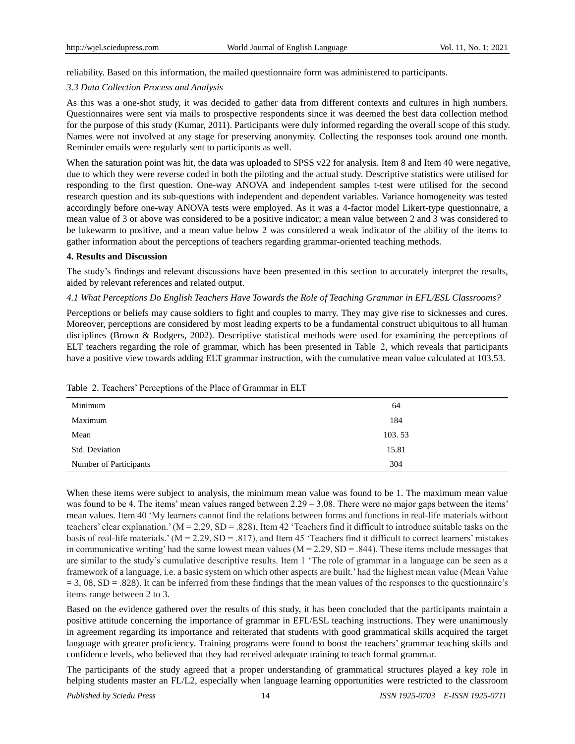reliability. Based on this information, the mailed questionnaire form was administered to participants.

## *3.3 Data Collection Process and Analysis*

As this was a one-shot study, it was decided to gather data from different contexts and cultures in high numbers. Questionnaires were sent via mails to prospective respondents since it was deemed the best data collection method for the purpose of this study (Kumar, 2011). Participants were duly informed regarding the overall scope of this study. Names were not involved at any stage for preserving anonymity. Collecting the responses took around one month. Reminder emails were regularly sent to participants as well.

When the saturation point was hit, the data was uploaded to SPSS v22 for analysis. Item 8 and Item 40 were negative, due to which they were reverse coded in both the piloting and the actual study. Descriptive statistics were utilised for responding to the first question. One-way ANOVA and independent samples t-test were utilised for the second research question and its sub-questions with independent and dependent variables. Variance homogeneity was tested accordingly before one-way ANOVA tests were employed. As it was a 4-factor model Likert-type questionnaire, a mean value of 3 or above was considered to be a positive indicator; a mean value between 2 and 3 was considered to be lukewarm to positive, and a mean value below 2 was considered a weak indicator of the ability of the items to gather information about the perceptions of teachers regarding grammar-oriented teaching methods.

#### **4. Results and Discussion**

The study"s findings and relevant discussions have been presented in this section to accurately interpret the results, aided by relevant references and related output.

#### *4.1 What Perceptions Do English Teachers Have Towards the Role of Teaching Grammar in EFL/ESL Classrooms?*

Perceptions or beliefs may cause soldiers to fight and couples to marry. They may give rise to sicknesses and cures. Moreover, perceptions are considered by most leading experts to be a fundamental construct ubiquitous to all human disciplines (Brown & Rodgers, 2002). Descriptive statistical methods were used for examining the perceptions of ELT teachers regarding the role of grammar, which has been presented in Table 2, which reveals that participants have a positive view towards adding ELT grammar instruction, with the cumulative mean value calculated at 103.53.

| racio 21 reachero i erespueno er are i iace er cramina in 221 |        |
|---------------------------------------------------------------|--------|
| Minimum                                                       | 64     |
| Maximum                                                       | 184    |
| Mean                                                          | 103.53 |
| Std. Deviation                                                | 15.81  |
| Number of Participants                                        | 304    |

Table 2. Teachers" Perceptions of the Place of Grammar in ELT

When these items were subject to analysis, the minimum mean value was found to be 1. The maximum mean value was found to be 4. The items' mean values ranged between  $2.29 - 3.08$ . There were no major gaps between the items' mean values. Item 40 "My learners cannot find the relations between forms and functions in real-life materials without teachers' clear explanation.' ( $M = 2.29$ ,  $SD = .828$ ), Item 42 'Teachers find it difficult to introduce suitable tasks on the basis of real-life materials.'  $(M = 2.29, SD = .817)$ , and Item 45 'Teachers find it difficult to correct learners' mistakes in communicative writing' had the same lowest mean values ( $M = 2.29$ ,  $SD = .844$ ). These items include messages that are similar to the study's cumulative descriptive results. Item 1 'The role of grammar in a language can be seen as a framework of a language, i.e. a basic system on which other aspects are built." had the highest mean value (Mean Value  $= 3, 08, SD = .828$ ). It can be inferred from these findings that the mean values of the responses to the questionnaire's items range between 2 to 3.

Based on the evidence gathered over the results of this study, it has been concluded that the participants maintain a positive attitude concerning the importance of grammar in EFL/ESL teaching instructions. They were unanimously in agreement regarding its importance and reiterated that students with good grammatical skills acquired the target language with greater proficiency. Training programs were found to boost the teachers" grammar teaching skills and confidence levels, who believed that they had received adequate training to teach formal grammar.

The participants of the study agreed that a proper understanding of grammatical structures played a key role in helping students master an FL/L2, especially when language learning opportunities were restricted to the classroom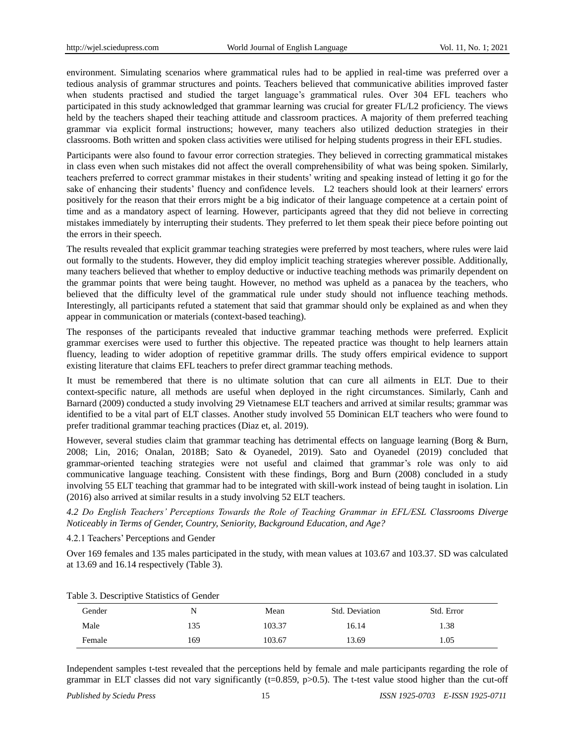environment. Simulating scenarios where grammatical rules had to be applied in real-time was preferred over a tedious analysis of grammar structures and points. Teachers believed that communicative abilities improved faster when students practised and studied the target language's grammatical rules. Over 304 EFL teachers who participated in this study acknowledged that grammar learning was crucial for greater FL/L2 proficiency. The views held by the teachers shaped their teaching attitude and classroom practices. A majority of them preferred teaching grammar via explicit formal instructions; however, many teachers also utilized deduction strategies in their classrooms. Both written and spoken class activities were utilised for helping students progress in their EFL studies.

Participants were also found to favour error correction strategies. They believed in correcting grammatical mistakes in class even when such mistakes did not affect the overall comprehensibility of what was being spoken. Similarly, teachers preferred to correct grammar mistakes in their students" writing and speaking instead of letting it go for the sake of enhancing their students' fluency and confidence levels. L2 teachers should look at their learners' errors positively for the reason that their errors might be a big indicator of their language competence at a certain point of time and as a mandatory aspect of learning. However, participants agreed that they did not believe in correcting mistakes immediately by interrupting their students. They preferred to let them speak their piece before pointing out the errors in their speech.

The results revealed that explicit grammar teaching strategies were preferred by most teachers, where rules were laid out formally to the students. However, they did employ implicit teaching strategies wherever possible. Additionally, many teachers believed that whether to employ deductive or inductive teaching methods was primarily dependent on the grammar points that were being taught. However, no method was upheld as a panacea by the teachers, who believed that the difficulty level of the grammatical rule under study should not influence teaching methods. Interestingly, all participants refuted a statement that said that grammar should only be explained as and when they appear in communication or materials (context-based teaching).

The responses of the participants revealed that inductive grammar teaching methods were preferred. Explicit grammar exercises were used to further this objective. The repeated practice was thought to help learners attain fluency, leading to wider adoption of repetitive grammar drills. The study offers empirical evidence to support existing literature that claims EFL teachers to prefer direct grammar teaching methods.

It must be remembered that there is no ultimate solution that can cure all ailments in ELT. Due to their context-specific nature, all methods are useful when deployed in the right circumstances. Similarly, Canh and Barnard (2009) conducted a study involving 29 Vietnamese ELT teachers and arrived at similar results; grammar was identified to be a vital part of ELT classes. Another study involved 55 Dominican ELT teachers who were found to prefer traditional grammar teaching practices (Diaz et, al. 2019).

However, several studies claim that grammar teaching has detrimental effects on language learning (Borg & Burn, 2008; Lin, 2016; Onalan, 2018B; Sato & Oyanedel, 2019). Sato and Oyanedel (2019) concluded that grammar-oriented teaching strategies were not useful and claimed that grammar"s role was only to aid communicative language teaching. Consistent with these findings, Borg and Burn (2008) concluded in a study involving 55 ELT teaching that grammar had to be integrated with skill-work instead of being taught in isolation. Lin (2016) also arrived at similar results in a study involving 52 ELT teachers.

*4.2 Do English Teachers' Perceptions Towards the Role of Teaching Grammar in EFL/ESL Classrooms Diverge Noticeably in Terms of Gender, Country, Seniority, Background Education, and Age?*

4.2.1 Teachers" Perceptions and Gender

Over 169 females and 135 males participated in the study, with mean values at 103.67 and 103.37. SD was calculated at 13.69 and 16.14 respectively (Table 3).

| Gender | N   | Mean   | Std. Deviation | Std. Error |
|--------|-----|--------|----------------|------------|
| Male   | 135 | 103.37 | 16.14          | l.38       |
| Female | 169 | 103.67 | 13.69          | l.05       |

Table 3. Descriptive Statistics of Gender

Independent samples t-test revealed that the perceptions held by female and male participants regarding the role of grammar in ELT classes did not vary significantly ( $t=0.859$ ,  $p>0.5$ ). The t-test value stood higher than the cut-off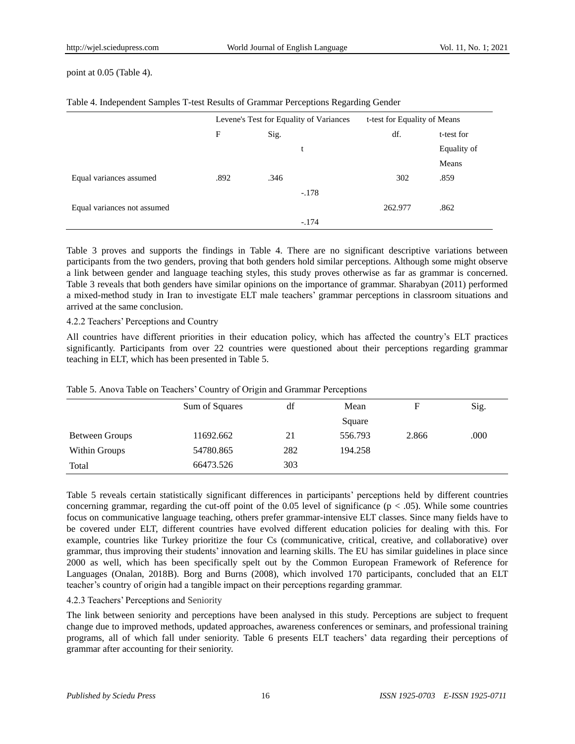#### point at 0.05 (Table 4).

|                             | Levene's Test for Equality of Variances |      | t-test for Equality of Means |         |             |
|-----------------------------|-----------------------------------------|------|------------------------------|---------|-------------|
|                             | F                                       | Sig. |                              | df.     | t-test for  |
|                             |                                         |      | t                            |         | Equality of |
|                             |                                         |      |                              |         | Means       |
| Equal variances assumed     | .892                                    | .346 |                              | 302     | .859        |
|                             |                                         |      | $-.178$                      |         |             |
| Equal variances not assumed |                                         |      |                              | 262.977 | .862        |
|                             |                                         |      | $-.174$                      |         |             |

Table 4. Independent Samples T-test Results of Grammar Perceptions Regarding Gender

Table 3 proves and supports the findings in Table 4. There are no significant descriptive variations between participants from the two genders, proving that both genders hold similar perceptions. Although some might observe a link between gender and language teaching styles, this study proves otherwise as far as grammar is concerned. Table 3 reveals that both genders have similar opinions on the importance of grammar. Sharabyan (2011) performed a mixed-method study in Iran to investigate ELT male teachers" grammar perceptions in classroom situations and arrived at the same conclusion.

#### 4.2.2 Teachers" Perceptions and Country

All countries have different priorities in their education policy, which has affected the country"s ELT practices significantly. Participants from over 22 countries were questioned about their perceptions regarding grammar teaching in ELT, which has been presented in Table 5.

|                | Sum of Squares | df  | Mean    |       | Sig. |
|----------------|----------------|-----|---------|-------|------|
|                |                |     | Square  |       |      |
| Between Groups | 11692.662      | 21  | 556.793 | 2.866 | .000 |
| Within Groups  | 54780.865      | 282 | 194.258 |       |      |
| Total          | 66473.526      | 303 |         |       |      |

Table 5. Anova Table on Teachers' Country of Origin and Grammar Perceptions

Table 5 reveals certain statistically significant differences in participants" perceptions held by different countries concerning grammar, regarding the cut-off point of the  $0.05$  level of significance ( $p < .05$ ). While some countries focus on communicative language teaching, others prefer grammar-intensive ELT classes. Since many fields have to be covered under ELT, different countries have evolved different education policies for dealing with this. For example, countries like Turkey prioritize the four Cs (communicative, critical, creative, and collaborative) over grammar, thus improving their students" innovation and learning skills. The EU has similar guidelines in place since 2000 as well, which has been specifically spelt out by the Common European Framework of Reference for Languages (Onalan, 2018B). Borg and Burns (2008), which involved 170 participants, concluded that an ELT teacher"s country of origin had a tangible impact on their perceptions regarding grammar.

#### 4.2.3 Teachers" Perceptions and Seniority

The link between seniority and perceptions have been analysed in this study. Perceptions are subject to frequent change due to improved methods, updated approaches, awareness conferences or seminars, and professional training programs, all of which fall under seniority. Table 6 presents ELT teachers" data regarding their perceptions of grammar after accounting for their seniority.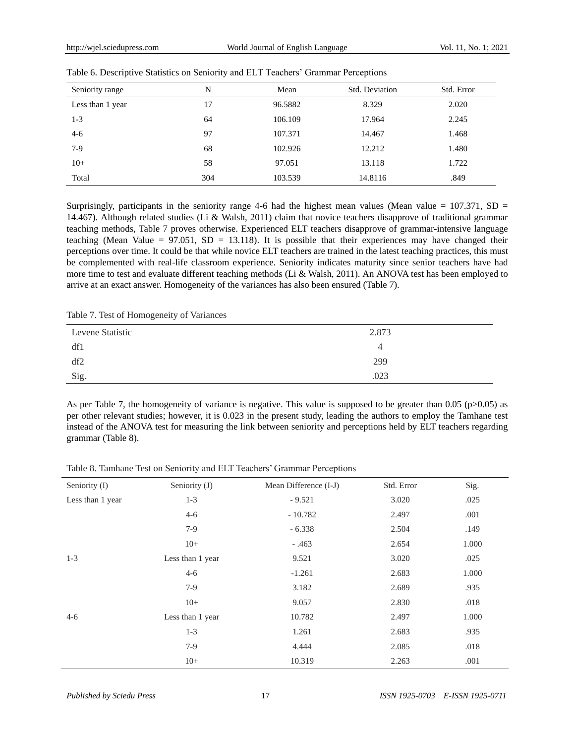| Seniority range  | N   | Mean    | Std. Deviation | Std. Error |
|------------------|-----|---------|----------------|------------|
| Less than 1 year | 17  | 96.5882 | 8.329          | 2.020      |
| $1-3$            | 64  | 106.109 | 17.964         | 2.245      |
| $4 - 6$          | 97  | 107.371 | 14.467         | 1.468      |
| $7-9$            | 68  | 102.926 | 12.212         | 1.480      |
| $10+$            | 58  | 97.051  | 13.118         | 1.722      |
| Total            | 304 | 103.539 | 14.8116        | .849       |

| Table 6. Descriptive Statistics on Seniority and ELT Teachers' Grammar Perceptions |  |
|------------------------------------------------------------------------------------|--|
|                                                                                    |  |

Surprisingly, participants in the seniority range 4-6 had the highest mean values (Mean value  $= 107.371$ , SD  $=$ 14.467). Although related studies (Li & Walsh, 2011) claim that novice teachers disapprove of traditional grammar teaching methods, Table 7 proves otherwise. Experienced ELT teachers disapprove of grammar-intensive language teaching (Mean Value =  $97.051$ , SD = 13.118). It is possible that their experiences may have changed their perceptions over time. It could be that while novice ELT teachers are trained in the latest teaching practices, this must be complemented with real-life classroom experience. Seniority indicates maturity since senior teachers have had more time to test and evaluate different teaching methods (Li & Walsh, 2011). An ANOVA test has been employed to arrive at an exact answer. Homogeneity of the variances has also been ensured (Table 7).

Table 7. Test of Homogeneity of Variances

| Levene Statistic | 2.873    |
|------------------|----------|
| df1              | $\Delta$ |
| df2              | 299      |
| Sig.             | .023     |

As per Table 7, the homogeneity of variance is negative. This value is supposed to be greater than 0.05 ( $p$  $>$ 0.05) as per other relevant studies; however, it is 0.023 in the present study, leading the authors to employ the Tamhane test instead of the ANOVA test for measuring the link between seniority and perceptions held by ELT teachers regarding grammar (Table 8).

Table 8. Tamhane Test on Seniority and ELT Teachers' Grammar Perceptions

| Seniority (I)    | Seniority (J)    | Mean Difference (I-J) | Std. Error | Sig.  |
|------------------|------------------|-----------------------|------------|-------|
| Less than 1 year | $1-3$            | $-9.521$              | 3.020      | .025  |
|                  | $4 - 6$          | $-10.782$             | 2.497      | .001  |
|                  | $7-9$            | $-6.338$              | 2.504      | .149  |
|                  | $10+$            | $-0.463$              | 2.654      | 1.000 |
| $1 - 3$          | Less than 1 year | 9.521                 | 3.020      | .025  |
|                  | $4 - 6$          | $-1.261$              | 2.683      | 1.000 |
|                  | $7-9$            | 3.182                 | 2.689      | .935  |
|                  | $10+$            | 9.057                 | 2.830      | .018  |
| $4 - 6$          | Less than 1 year | 10.782                | 2.497      | 1.000 |
|                  | $1-3$            | 1.261                 | 2.683      | .935  |
|                  | $7-9$            | 4.444                 | 2.085      | .018  |
|                  | $10+$            | 10.319                | 2.263      | .001  |
|                  |                  |                       |            |       |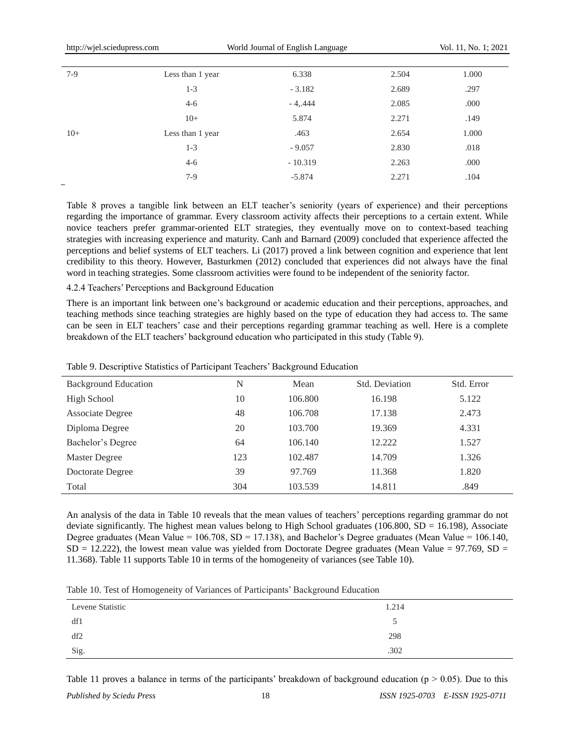| $7-9$ | Less than 1 year | 6.338     | 2.504 | 1.000 |
|-------|------------------|-----------|-------|-------|
|       | $1-3$            | $-3.182$  | 2.689 | .297  |
|       | $4 - 6$          | $-4,444$  | 2.085 | .000  |
|       | $10+$            | 5.874     | 2.271 | .149  |
| $10+$ | Less than 1 year | .463      | 2.654 | 1.000 |
|       | $1-3$            | $-9.057$  | 2.830 | .018  |
|       | $4 - 6$          | $-10.319$ | 2.263 | .000  |
|       | $7-9$            | $-5.874$  | 2.271 | .104  |
|       |                  |           |       |       |

Table 8 proves a tangible link between an ELT teacher"s seniority (years of experience) and their perceptions regarding the importance of grammar. Every classroom activity affects their perceptions to a certain extent. While novice teachers prefer grammar-oriented ELT strategies, they eventually move on to context-based teaching strategies with increasing experience and maturity. Canh and Barnard (2009) concluded that experience affected the perceptions and belief systems of ELT teachers. Li (2017) proved a link between cognition and experience that lent credibility to this theory. However, Basturkmen (2012) concluded that experiences did not always have the final word in teaching strategies. Some classroom activities were found to be independent of the seniority factor.

#### 4.2.4 Teachers" Perceptions and Background Education

There is an important link between one"s background or academic education and their perceptions, approaches, and teaching methods since teaching strategies are highly based on the type of education they had access to. The same can be seen in ELT teachers' case and their perceptions regarding grammar teaching as well. Here is a complete breakdown of the ELT teachers" background education who participated in this study (Table 9).

| <b>Background Education</b> | N   | Mean    | Std. Deviation | Std. Error |
|-----------------------------|-----|---------|----------------|------------|
| High School                 | 10  | 106.800 | 16.198         | 5.122      |
| <b>Associate Degree</b>     | 48  | 106.708 | 17.138         | 2.473      |
| Diploma Degree              | 20  | 103.700 | 19.369         | 4.331      |
| Bachelor's Degree           | 64  | 106.140 | 12.222         | 1.527      |
| Master Degree               | 123 | 102.487 | 14.709         | 1.326      |
| Doctorate Degree            | 39  | 97.769  | 11.368         | 1.820      |
| Total                       | 304 | 103.539 | 14.811         | .849       |

Table 9. Descriptive Statistics of Participant Teachers" Background Education

An analysis of the data in Table 10 reveals that the mean values of teachers" perceptions regarding grammar do not deviate significantly. The highest mean values belong to High School graduates (106.800,  $SD = 16.198$ ), Associate Degree graduates (Mean Value =  $106.708$ , SD = 17.138), and Bachelor's Degree graduates (Mean Value =  $106.140$ ,  $SD = 12.222$ ), the lowest mean value was yielded from Doctorate Degree graduates (Mean Value = 97.769, SD = 11.368). Table 11 supports Table 10 in terms of the homogeneity of variances (see Table 10).

|  |  | Table 10. Test of Homogeneity of Variances of Participants' Background Education |
|--|--|----------------------------------------------------------------------------------|
|  |  |                                                                                  |

| Levene Statistic | 1.214 |
|------------------|-------|
| df1              |       |
| df2              | 298   |
| Sig.             | .302  |

Table 11 proves a balance in terms of the participants' breakdown of background education ( $p > 0.05$ ). Due to this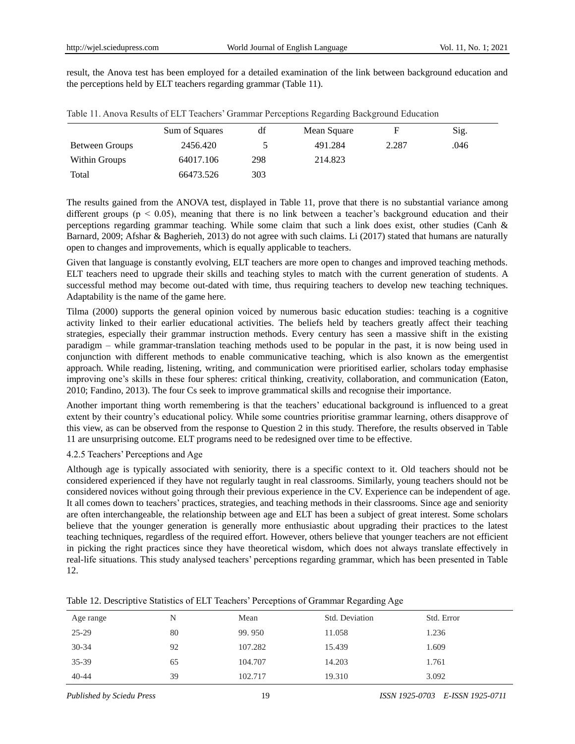result, the Anova test has been employed for a detailed examination of the link between background education and the perceptions held by ELT teachers regarding grammar (Table 11).

|                | Sum of Squares | df  | Mean Square | F     | Sig. |  |
|----------------|----------------|-----|-------------|-------|------|--|
| Between Groups | 2456.420       |     | 491.284     | 2.287 | .046 |  |
| Within Groups  | 64017.106      | 298 | 214.823     |       |      |  |
| Total          | 66473.526      | 303 |             |       |      |  |

Table 11. Anova Results of ELT Teachers" Grammar Perceptions Regarding Background Education

The results gained from the ANOVA test, displayed in Table 11, prove that there is no substantial variance among different groups ( $p < 0.05$ ), meaning that there is no link between a teacher's background education and their perceptions regarding grammar teaching. While some claim that such a link does exist, other studies (Canh & Barnard, 2009; Afshar & Bagherieh, 2013) do not agree with such claims. Li (2017) stated that humans are naturally open to changes and improvements, which is equally applicable to teachers.

Given that language is constantly evolving, ELT teachers are more open to changes and improved teaching methods. ELT teachers need to upgrade their skills and teaching styles to match with the current generation of students. A successful method may become out-dated with time, thus requiring teachers to develop new teaching techniques. Adaptability is the name of the game here.

Tilma (2000) supports the general opinion voiced by numerous basic education studies: teaching is a cognitive activity linked to their earlier educational activities. The beliefs held by teachers greatly affect their teaching strategies, especially their grammar instruction methods. Every century has seen a massive shift in the existing paradigm – while grammar-translation teaching methods used to be popular in the past, it is now being used in conjunction with different methods to enable communicative teaching, which is also known as the emergentist approach. While reading, listening, writing, and communication were prioritised earlier, scholars today emphasise improving one"s skills in these four spheres: critical thinking, creativity, collaboration, and communication (Eaton, 2010; Fandino, 2013). The four Cs seek to improve grammatical skills and recognise their importance.

Another important thing worth remembering is that the teachers" educational background is influenced to a great extent by their country"s educational policy. While some countries prioritise grammar learning, others disapprove of this view, as can be observed from the response to Question 2 in this study. Therefore, the results observed in Table 11 are unsurprising outcome. ELT programs need to be redesigned over time to be effective.

# 4.2.5 Teachers" Perceptions and Age

Although age is typically associated with seniority, there is a specific context to it. Old teachers should not be considered experienced if they have not regularly taught in real classrooms. Similarly, young teachers should not be considered novices without going through their previous experience in the CV. Experience can be independent of age. It all comes down to teachers" practices, strategies, and teaching methods in their classrooms. Since age and seniority are often interchangeable, the relationship between age and ELT has been a subject of great interest. Some scholars believe that the younger generation is generally more enthusiastic about upgrading their practices to the latest teaching techniques, regardless of the required effort. However, others believe that younger teachers are not efficient in picking the right practices since they have theoretical wisdom, which does not always translate effectively in real-life situations. This study analysed teachers" perceptions regarding grammar, which has been presented in Table 12.

| Age range | N  | Mean    | Std. Deviation | Std. Error |
|-----------|----|---------|----------------|------------|
| $25 - 29$ | 80 | 99.950  | 11.058         | 1.236      |
| $30 - 34$ | 92 | 107.282 | 15.439         | 1.609      |
| 35-39     | 65 | 104.707 | 14.203         | 1.761      |
| $40 - 44$ | 39 | 102.717 | 19.310         | 3.092      |

Table 12. Descriptive Statistics of ELT Teachers" Perceptions of Grammar Regarding Age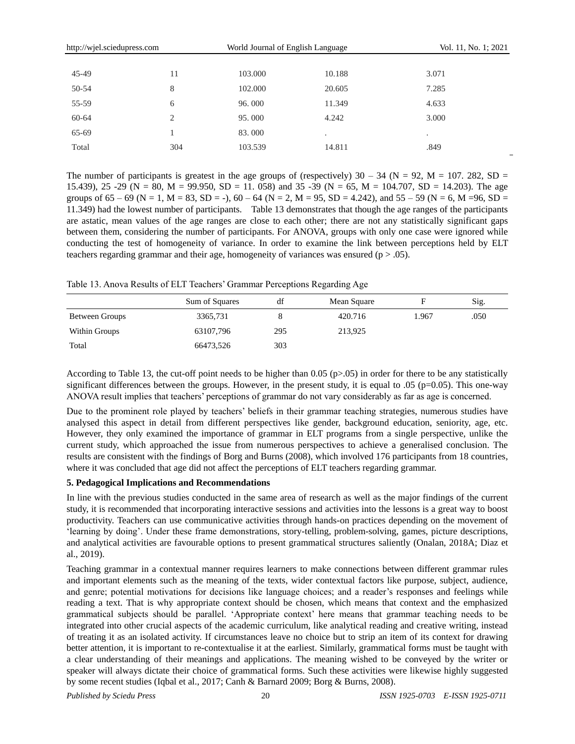| http://wjel.sciedupress.com |     | World Journal of English Language | Vol. 11, No. 1; 2021 |       |
|-----------------------------|-----|-----------------------------------|----------------------|-------|
|                             |     |                                   |                      |       |
| $45-49$                     | 11  | 103.000                           | 10.188               | 3.071 |
| 50-54                       | 8   | 102.000                           | 20.605               | 7.285 |
| 55-59                       | 6   | 96.000                            | 11.349               | 4.633 |
| 60-64                       | 2   | 95,000                            | 4.242                | 3.000 |
| 65-69                       |     | 83.000                            | $\cdot$              | ٠     |
| Total                       | 304 | 103.539                           | 14.811               | .849  |

The number of participants is greatest in the age groups of (respectively)  $30 - 34$  (N = 92, M = 107. 282, SD = 15.439), 25 -29 (N = 80, M = 99.950, SD = 11. 058) and 35 -39 (N = 65, M = 104.707, SD = 14.203). The age groups of  $65 - 69$  (N = 1, M = 83, SD = -),  $60 - 64$  (N = 2, M = 95, SD = 4.242), and  $55 - 59$  (N = 6, M = 96, SD = 11.349) had the lowest number of participants. Table 13 demonstrates that though the age ranges of the participants are astatic, mean values of the age ranges are close to each other; there are not any statistically significant gaps between them, considering the number of participants. For ANOVA, groups with only one case were ignored while conducting the test of homogeneity of variance. In order to examine the link between perceptions held by ELT teachers regarding grammar and their age, homogeneity of variances was ensured ( $p > .05$ ).

Table 13. Anova Results of ELT Teachers' Grammar Perceptions Regarding Age

|                | Sum of Squares | df  | Mean Square |       | Sig. |
|----------------|----------------|-----|-------------|-------|------|
| Between Groups | 3365,731       |     | 420.716     | 1.967 | .050 |
| Within Groups  | 63107,796      | 295 | 213,925     |       |      |
| Total          | 66473,526      | 303 |             |       |      |

According to Table 13, the cut-off point needs to be higher than 0.05 ( $p>0.05$ ) in order for there to be any statistically significant differences between the groups. However, in the present study, it is equal to .05 ( $p=0.05$ ). This one-way ANOVA result implies that teachers" perceptions of grammar do not vary considerably as far as age is concerned.

Due to the prominent role played by teachers" beliefs in their grammar teaching strategies, numerous studies have analysed this aspect in detail from different perspectives like gender, background education, seniority, age, etc. However, they only examined the importance of grammar in ELT programs from a single perspective, unlike the current study, which approached the issue from numerous perspectives to achieve a generalised conclusion. The results are consistent with the findings of Borg and Burns (2008), which involved 176 participants from 18 countries, where it was concluded that age did not affect the perceptions of ELT teachers regarding grammar.

# **5. Pedagogical Implications and Recommendations**

In line with the previous studies conducted in the same area of research as well as the major findings of the current study, it is recommended that incorporating interactive sessions and activities into the lessons is a great way to boost productivity. Teachers can use communicative activities through hands-on practices depending on the movement of "learning by doing". Under these frame demonstrations, story-telling, problem-solving, games, picture descriptions, and analytical activities are favourable options to present grammatical structures saliently (Onalan, 2018A; Diaz et al., 2019).

Teaching grammar in a contextual manner requires learners to make connections between different grammar rules and important elements such as the meaning of the texts, wider contextual factors like purpose, subject, audience, and genre; potential motivations for decisions like language choices; and a reader's responses and feelings while reading a text. That is why appropriate context should be chosen, which means that context and the emphasized grammatical subjects should be parallel. "Appropriate context" here means that grammar teaching needs to be integrated into other crucial aspects of the academic curriculum, like analytical reading and creative writing, instead of treating it as an isolated activity. If circumstances leave no choice but to strip an item of its context for drawing better attention, it is important to re-contextualise it at the earliest. Similarly, grammatical forms must be taught with a clear understanding of their meanings and applications. The meaning wished to be conveyed by the writer or speaker will always dictate their choice of grammatical forms. Such these activities were likewise highly suggested by some recent studies (Iqbal et al., 2017; Canh & Barnard 2009; Borg & Burns, 2008).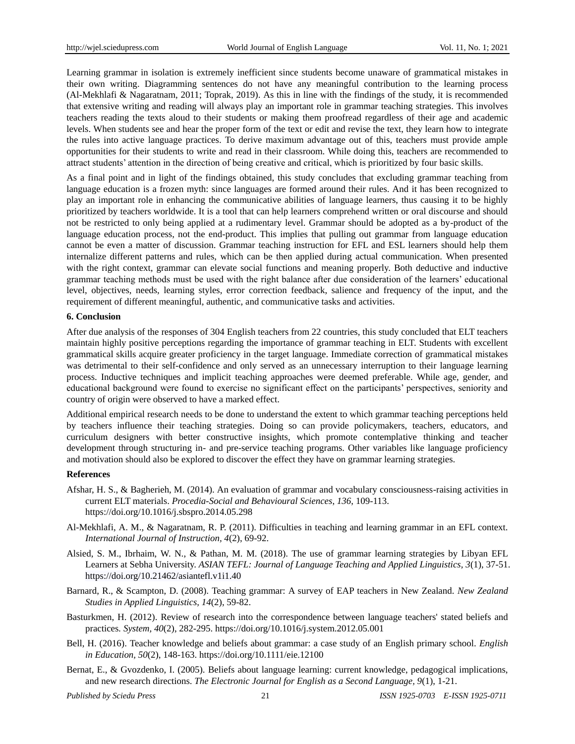Learning grammar in isolation is extremely inefficient since students become unaware of grammatical mistakes in their own writing. Diagramming sentences do not have any meaningful contribution to the learning process (Al-Mekhlafi & Nagaratnam, 2011; Toprak, 2019). As this in line with the findings of the study, it is recommended that extensive writing and reading will always play an important role in grammar teaching strategies. This involves teachers reading the texts aloud to their students or making them proofread regardless of their age and academic levels. When students see and hear the proper form of the text or edit and revise the text, they learn how to integrate the rules into active language practices. To derive maximum advantage out of this, teachers must provide ample opportunities for their students to write and read in their classroom. While doing this, teachers are recommended to attract students" attention in the direction of being creative and critical, which is prioritized by four basic skills.

As a final point and in light of the findings obtained, this study concludes that excluding grammar teaching from language education is a frozen myth: since languages are formed around their rules. And it has been recognized to play an important role in enhancing the communicative abilities of language learners, thus causing it to be highly prioritized by teachers worldwide. It is a tool that can help learners comprehend written or oral discourse and should not be restricted to only being applied at a rudimentary level. Grammar should be adopted as a by-product of the language education process, not the end-product. This implies that pulling out grammar from language education cannot be even a matter of discussion. Grammar teaching instruction for EFL and ESL learners should help them internalize different patterns and rules, which can be then applied during actual communication. When presented with the right context, grammar can elevate social functions and meaning properly. Both deductive and inductive grammar teaching methods must be used with the right balance after due consideration of the learners' educational level, objectives, needs, learning styles, error correction feedback, salience and frequency of the input, and the requirement of different meaningful, authentic, and communicative tasks and activities.

## **6. Conclusion**

After due analysis of the responses of 304 English teachers from 22 countries, this study concluded that ELT teachers maintain highly positive perceptions regarding the importance of grammar teaching in ELT. Students with excellent grammatical skills acquire greater proficiency in the target language. Immediate correction of grammatical mistakes was detrimental to their self-confidence and only served as an unnecessary interruption to their language learning process. Inductive techniques and implicit teaching approaches were deemed preferable. While age, gender, and educational background were found to exercise no significant effect on the participants" perspectives, seniority and country of origin were observed to have a marked effect.

Additional empirical research needs to be done to understand the extent to which grammar teaching perceptions held by teachers influence their teaching strategies. Doing so can provide policymakers, teachers, educators, and curriculum designers with better constructive insights, which promote contemplative thinking and teacher development through structuring in- and pre-service teaching programs. Other variables like language proficiency and motivation should also be explored to discover the effect they have on grammar learning strategies.

## **References**

- Afshar, H. S., & Bagherieh, M. (2014). An evaluation of grammar and vocabulary consciousness-raising activities in current ELT materials. *Procedia-Social and Behavioural Sciences*, *136*, 109-113. <https://doi.org/10.1016/j.sbspro.2014.05.298>
- Al-Mekhlafi, A. M., & Nagaratnam, R. P. (2011). Difficulties in teaching and learning grammar in an EFL context. *International Journal of Instruction, 4*(2), 69-92.
- Alsied, S. M., Ibrhaim, W. N., & Pathan, M. M. (2018). The use of grammar learning strategies by Libyan EFL Learners at Sebha University. *ASIAN TEFL: Journal of Language Teaching and Applied Linguistics, 3*(1), 37-51. https://doi.org/10.21462/asiantefl.v1i1.40
- Barnard, R., & Scampton, D. (2008). Teaching grammar: A survey of EAP teachers in New Zealand. *New Zealand Studies in Applied Linguistics, 14*(2), 59-82.
- Basturkmen, H. (2012). Review of research into the correspondence between language teachers' stated beliefs and practices*. System, 40*(2), 282-295. <https://doi.org/10.1016/j.system.2012.05.001>
- Bell, H. (2016). Teacher knowledge and beliefs about grammar: a case study of an English primary school. *English in Education, 50*(2), 148-163. <https://doi.org/10.1111/eie.12100>
- Bernat, E., & Gvozdenko, I. (2005). Beliefs about language learning: current knowledge, pedagogical implications, and new research directions. *The Electronic Journal for English as a Second Language, 9*(1), 1-21.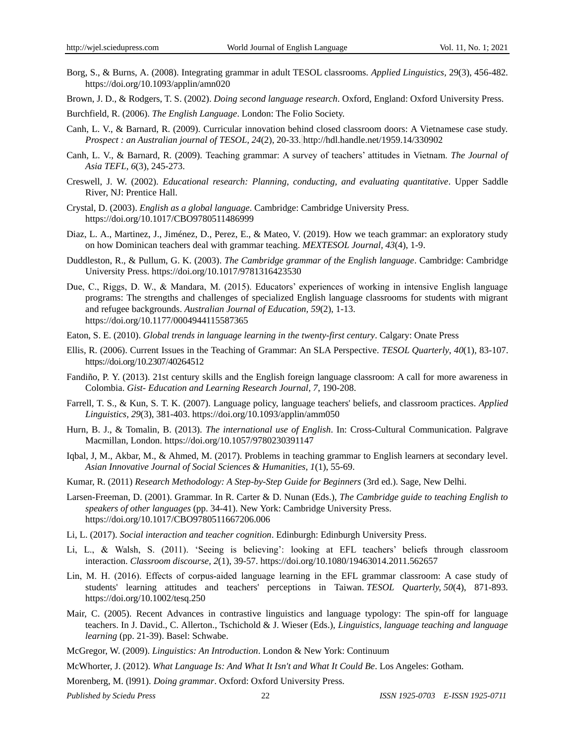- Borg, S., & Burns, A. (2008). Integrating grammar in adult TESOL classrooms. *Applied Linguistics,* 29(3), 456-482. https://doi.org/10.1093/applin/amn020
- Brown, J. D., & Rodgers, T. S. (2002). *Doing second language research*. Oxford, England: Oxford University Press.

Burchfield, R. (2006). *The English Language*. London: The Folio Society.

- Canh, L. V., & Barnard, R. (2009). Curricular innovation behind closed classroom doors: A Vietnamese case study. *Prospect : an Australian journal of TESOL, 24*(2), 20-33. http://hdl.handle.net/1959.14/330902
- Canh, L. V., & Barnard, R. (2009). Teaching grammar: A survey of teachers" attitudes in Vietnam. *The Journal of Asia TEFL, 6*(3), 245-273.
- Creswell, J. W. (2002). *Educational research: Planning, conducting, and evaluating quantitative*. Upper Saddle River, NJ: Prentice Hall.
- Crystal, D. (2003). *English as a global language*. Cambridge: Cambridge University Press. https://doi.org/10.1017/CBO9780511486999
- Diaz, L. A., Martinez, J., Jiménez, D., Perez, E., & Mateo, V. (2019). How we teach grammar: an exploratory study on how Dominican teachers deal with grammar teaching. *MEXTESOL Journal, 43*(4), 1-9.
- Duddleston, R., & Pullum, G. K. (2003). *The Cambridge grammar of the English language*. Cambridge: Cambridge University Press. https://doi.org/10.1017/9781316423530
- Due, C., Riggs, D. W., & Mandara, M. (2015). Educators" experiences of working in intensive English language programs: The strengths and challenges of specialized English language classrooms for students with migrant and refugee backgrounds. *Australian Journal of Education, 59*(2), 1-13. [https://doi.org/10.1177/0004944115587365](https://doi.org/10.1177%2F0004944115587365)
- Eaton, S. E. (2010). *Global trends in language learning in the twenty-first century*. Calgary: Onate Press
- Ellis, R. (2006). Current Issues in the Teaching of Grammar: An SLA Perspective. *TESOL Quarterly*, *40*(1), 83-107. <https://doi.org/10.2307/40264512>
- Fandiño, P. Y. (2013). 21st century skills and the English foreign language classroom: A call for more awareness in Colombia. *Gist- Education and Learning Research Journal, 7*, 190-208.
- Farrell, T. S., & Kun, S. T. K. (2007). Language policy, language teachers' beliefs, and classroom practices. *Applied Linguistics, 29*(3), 381-403.<https://doi.org/10.1093/applin/amm050>
- Hurn, B. J., & Tomalin, B. (2013). *The international use of English*. In: Cross-Cultural Communication. Palgrave Macmillan, London. https://doi.org/10.1057/9780230391147
- Iqbal, J, M., Akbar, M., & Ahmed, M. (2017). Problems in teaching grammar to English learners at secondary level. *Asian Innovative Journal of Social Sciences & Humanities, 1*(1), 55-69.
- Kumar, R. (2011) *Research Methodology: A Step-by-Step Guide for Beginners* (3rd ed.). Sage, New Delhi.
- Larsen-Freeman, D. (2001). Grammar. In R. Carter & D. Nunan (Eds.), *The Cambridge guide to teaching English to speakers of other languages* (pp. 34-41). New York: Cambridge University Press. https://doi.org/10.1017/CBO9780511667206.006
- Li, L. (2017). *Social interaction and teacher cognition*. Edinburgh: Edinburgh University Press.
- Li, L., & Walsh, S. (2011). "Seeing is believing": looking at EFL teachers" beliefs through classroom interaction. *Classroom discourse, 2*(1), 39-57.<https://doi.org/10.1080/19463014.2011.562657>
- Lin, M. H. (2016). Effects of corpus‐aided language learning in the EFL grammar classroom: A case study of students' learning attitudes and teachers' perceptions in Taiwan. *TESOL Quarterly, 50*(4), 871-893. <https://doi.org/10.1002/tesq.250>
- Mair, C. (2005). Recent Advances in contrastive linguistics and language typology: The spin-off for language teachers. In J. David., C. Allerton., Tschichold & J. Wieser (Eds.), *Linguistics, language teaching and language learning* (pp. 21-39). Basel: Schwabe.
- McGregor, W. (2009). *Linguistics: An Introduction*. London & New York: Continuum
- McWhorter, J. (2012). *What Language Is: And What It Isn't and What It Could Be*. Los Angeles: Gotham.

Morenberg, M. (l991). *Doing grammar*. Oxford: Oxford University Press.